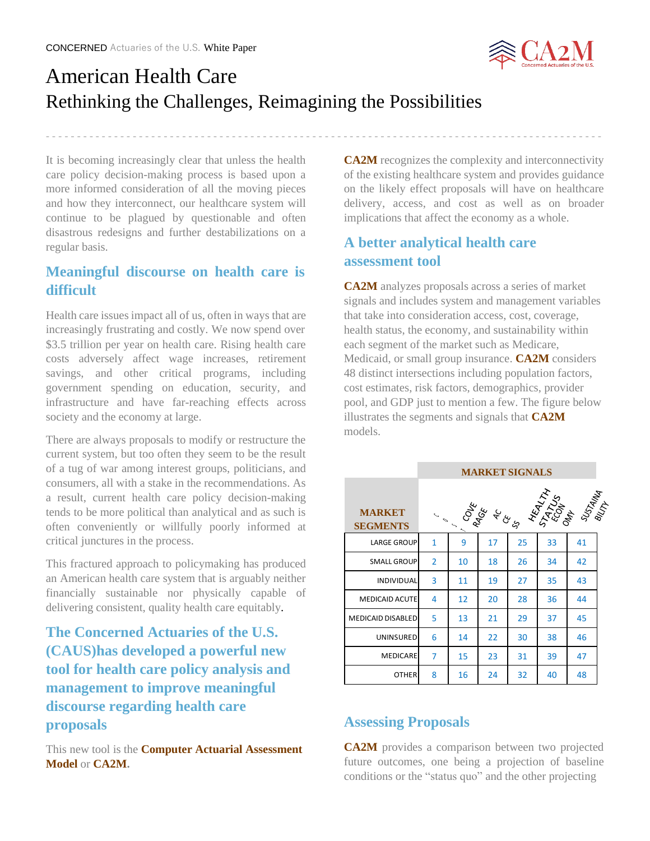

# American Health Care Rethinking the Challenges, Reimagining the Possibilities

- - - - - - - - - - - - - - - - - - - - - - - - - - - - - - - - - - - - - - - - - - - - - - - - - - - - - - - - - - - - - - - - - - - - - - - - - - - - - - - - - - - - - - - - - -

It is becoming increasingly clear that unless the health care policy decision-making process is based upon a more informed consideration of all the moving pieces and how they interconnect, our healthcare system will continue to be plagued by questionable and often disastrous redesigns and further destabilizations on a regular basis.

# **Meaningful discourse on health care is difficult**

Health care issues impact all of us, often in ways that are increasingly frustrating and costly. We now spend over \$3.5 trillion per year on health care. Rising health care costs adversely affect wage increases, retirement savings, and other critical programs, including government spending on education, security, and infrastructure and have far-reaching effects across society and the economy at large.

There are always proposals to modify or restructure the current system, but too often they seem to be the result of a tug of war among interest groups, politicians, and consumers, all with a stake in the recommendations. As a result, current health care policy decision-making tends to be more political than analytical and as such is often conveniently or willfully poorly informed at critical junctures in the process.

This fractured approach to policymaking has produced an American health care system that is arguably neither financially sustainable nor physically capable of delivering consistent, quality health care equitably.

**The Concerned Actuaries of the U.S. (CAUS)has developed a powerful new tool for health care policy analysis and management to improve meaningful discourse regarding health care proposals**

This new tool is the **Computer Actuarial Assessment Model** or **CA2M.**

**CA2M** recognizes the complexity and interconnectivity of the existing healthcare system and provides guidance on the likely effect proposals will have on healthcare delivery, access, and cost as well as on broader implications that affect the economy as a whole.

## **A better analytical health care assessment tool**

**CA2M** analyzes proposals across a series of market signals and includes system and management variables that take into consideration access, cost, coverage, health status, the economy, and sustainability within each segment of the market such as Medicare, Medicaid, or small group insurance. **CA2M** considers 48 distinct intersections including population factors, cost estimates, risk factors, demographics, provider pool, and GDP just to mention a few. The figure below illustrates the segments and signals that **CA2M** models.

|                                  | <b>MARKET SIGNALS</b> |               |       |    |    |                                  |
|----------------------------------|-----------------------|---------------|-------|----|----|----------------------------------|
| <b>MARKET</b><br><b>SEGMENTS</b> |                       | <b>I SORE</b> | Acces |    |    | <b>HASS SERVER</b><br>ARS SERVER |
| <b>LARGE GROUP</b>               | 1                     | 9             | 17    | 25 | 33 | 41                               |
| <b>SMALL GROUP</b>               | $\overline{2}$        | 10            | 18    | 26 | 34 | 42                               |
| <b>INDIVIDUAL</b>                | 3                     | 11            | 19    | 27 | 35 | 43                               |
| <b>MEDICAID ACUTE</b>            | 4                     | 12            | 20    | 28 | 36 | 44                               |
| <b>MEDICAID DISABLED</b>         | 5                     | 13            | 21    | 29 | 37 | 45                               |
| <b>UNINSURED</b>                 | 6                     | 14            | 22    | 30 | 38 | 46                               |
| <b>MEDICARE</b>                  | 7                     | 15            | 23    | 31 | 39 | 47                               |
| <b>OTHER</b>                     | 8                     | 16            | 24    | 32 | 40 | 48                               |

### **Assessing Proposals**

**CA2M** provides a comparison between two projected future outcomes, one being a projection of baseline conditions or the "status quo" and the other projecting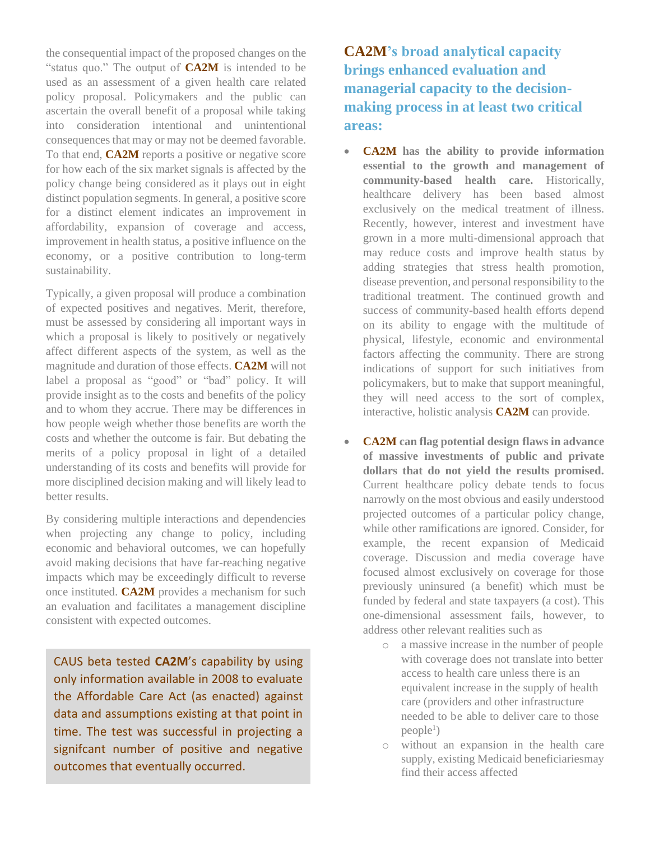the consequential impact of the proposed changes on the "status quo." The output of **CA2M** is intended to be used as an assessment of a given health care related policy proposal. Policymakers and the public can ascertain the overall benefit of a proposal while taking into consideration intentional and unintentional consequences that may or may not be deemed favorable. To that end, **CA2M** reports a positive or negative score for how each of the six market signals is affected by the policy change being considered as it plays out in eight distinct population segments. In general, a positive score for a distinct element indicates an improvement in affordability, expansion of coverage and access, improvement in health status, a positive influence on the economy, or a positive contribution to long-term sustainability.

Typically, a given proposal will produce a combination of expected positives and negatives. Merit, therefore, must be assessed by considering all important ways in which a proposal is likely to positively or negatively affect different aspects of the system, as well as the magnitude and duration of those effects. **CA2M** will not label a proposal as "good" or "bad" policy. It will provide insight as to the costs and benefits of the policy and to whom they accrue. There may be differences in how people weigh whether those benefits are worth the costs and whether the outcome is fair. But debating the merits of a policy proposal in light of a detailed understanding of its costs and benefits will provide for more disciplined decision making and will likely lead to better results.

By considering multiple interactions and dependencies when projecting any change to policy, including economic and behavioral outcomes, we can hopefully avoid making decisions that have far-reaching negative impacts which may be exceedingly difficult to reverse once instituted. **CA2M** provides a mechanism for such an evaluation and facilitates a management discipline consistent with expected outcomes.

CAUS beta tested **CA2M**'s capability by using only information available in 2008 to evaluate the Affordable Care Act (as enacted) against data and assumptions existing at that point in time. The test was successful in projecting a signifcant number of positive and negative outcomes that eventually occurred.

**CA2M's broad analytical capacity brings enhanced evaluation and managerial capacity to the decisionmaking process in at least two critical areas:**

- **CA2M has the ability to provide information essential to the growth and management of community-based health care.** Historically, healthcare delivery has been based almost exclusively on the medical treatment of illness. Recently, however, interest and investment have grown in a more multi-dimensional approach that may reduce costs and improve health status by adding strategies that stress health promotion, disease prevention, and personal responsibility to the traditional treatment. The continued growth and success of community-based health efforts depend on its ability to engage with the multitude of physical, lifestyle, economic and environmental factors affecting the community. There are strong indications of support for such initiatives from policymakers, but to make that support meaningful, they will need access to the sort of complex, interactive, holistic analysis **CA2M** can provide.
- **CA2M can flag potential design flaws in advance of massive investments of public and private dollars that do not yield the results promised.** Current healthcare policy debate tends to focus narrowly on the most obvious and easily understood projected outcomes of a particular policy change, while other ramifications are ignored. Consider, for example, the recent expansion of Medicaid coverage. Discussion and media coverage have focused almost exclusively on coverage for those previously uninsured (a benefit) which must be funded by federal and state taxpayers (a cost). This one-dimensional assessment fails, however, to address other relevant realities such as
	- o a massive increase in the number of people with coverage does not translate into better access to health care unless there is an equivalent increase in the supply of health care (providers and other infrastructure needed to be able to deliver care to those  $people<sup>1</sup>)$
	- o without an expansion in the health care supply, existing Medicaid beneficiariesmay find their access affected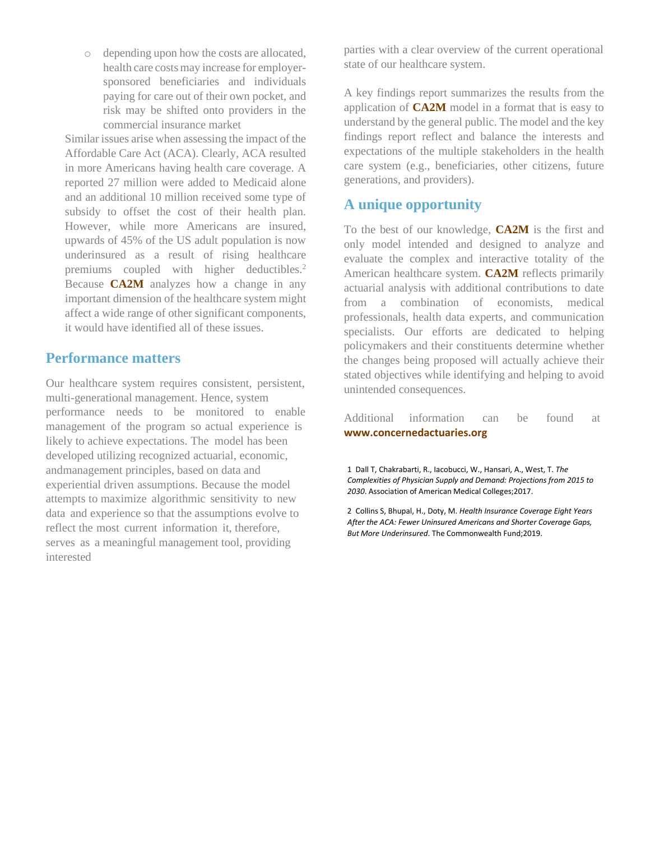o depending upon how the costs are allocated, health care costs may increase for employersponsored beneficiaries and individuals paying for care out of their own pocket, and risk may be shifted onto providers in the commercial insurance market

Similar issues arise when assessing the impact of the Affordable Care Act (ACA). Clearly, ACA resulted in more Americans having health care coverage. A reported 27 million were added to Medicaid alone and an additional 10 million received some type of subsidy to offset the cost of their health plan. However, while more Americans are insured, upwards of 45% of the US adult population is now underinsured as a result of rising healthcare premiums coupled with higher deductibles.<sup>2</sup> Because **CA2M** analyzes how a change in any important dimension of the healthcare system might affect a wide range of other significant components, it would have identified all of these issues.

#### **Performance matters**

Our healthcare system requires consistent, persistent, multi-generational management. Hence, system performance needs to be monitored to enable management of the program so actual experience is likely to achieve expectations. The model has been developed utilizing recognized actuarial, economic, andmanagement principles, based on data and experiential driven assumptions. Because the model attempts to maximize algorithmic sensitivity to new data and experience so that the assumptions evolve to reflect the most current information it, therefore, serves as a meaningful management tool, providing interested

parties with a clear overview of the current operational state of our healthcare system.

A key findings report summarizes the results from the application of **CA2M** model in a format that is easy to understand by the general public. The model and the key findings report reflect and balance the interests and expectations of the multiple stakeholders in the health care system (e.g., beneficiaries, other citizens, future generations, and providers).

#### **A unique opportunity**

To the best of our knowledge, **CA2M** is the first and only model intended and designed to analyze and evaluate the complex and interactive totality of the American healthcare system. **CA2M** reflects primarily actuarial analysis with additional contributions to date from a combination of economists, medical professionals, health data experts, and communication specialists. Our efforts are dedicated to helping policymakers and their constituents determine whether the changes being proposed will actually achieve their stated objectives while identifying and helping to avoid unintended consequences.

Additional information can be found at **[www.concernedactuaries.org](http://www.concernedactuaries.org/)**

1 Dall T, Chakrabarti, R., Iacobucci, W., Hansari, A., West, T. *The Complexities of Physician Supply and Demand: Projections from 2015 to 2030*. Association of American Medical Colleges;2017.

2 Collins S, Bhupal, H., Doty, M. *Health Insurance Coverage Eight Years After the ACA: Fewer Uninsured Americans and Shorter Coverage Gaps, But More Underinsured*. The Commonwealth Fund;2019.